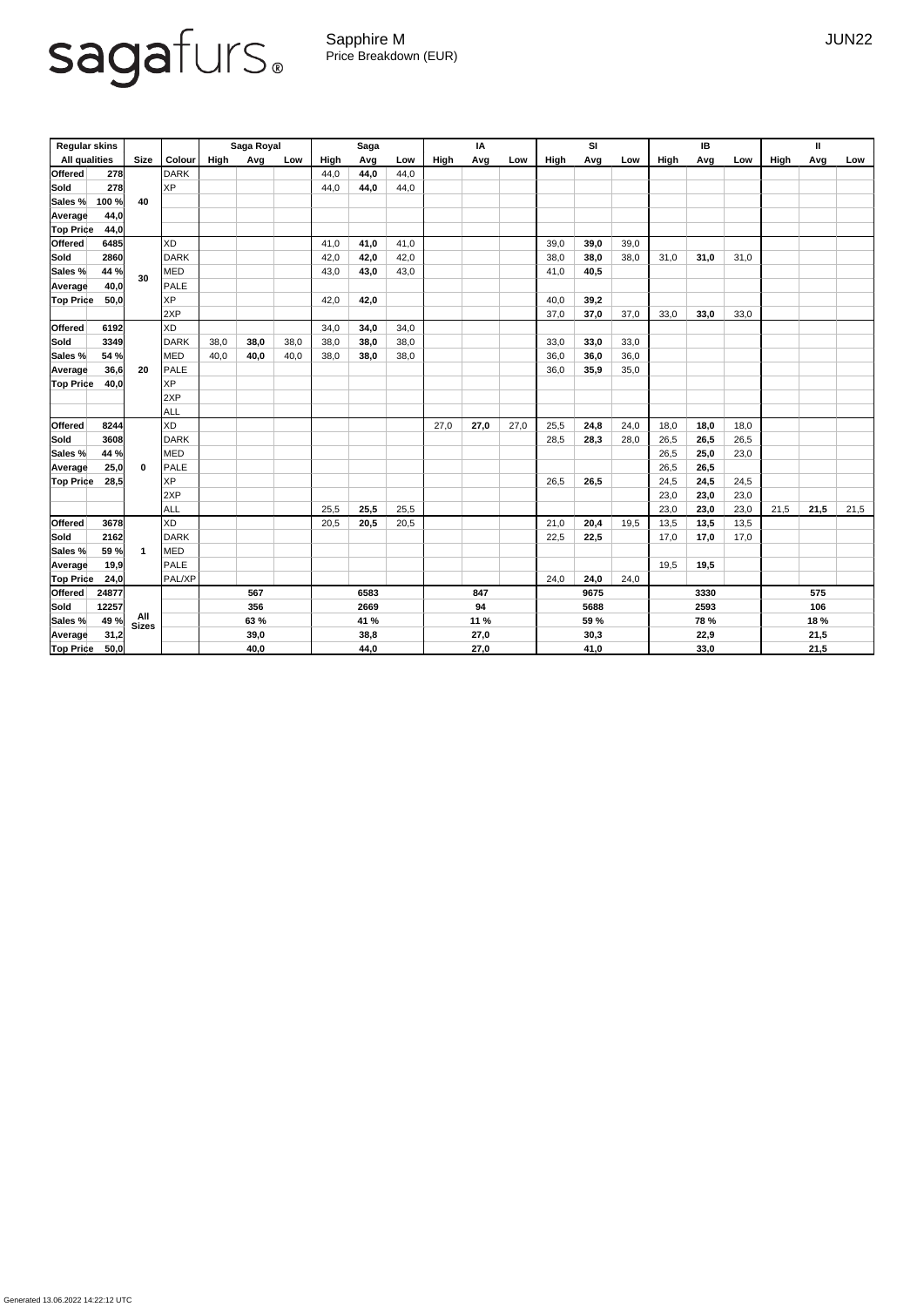Generated 13.06.2022 14:22:12 UTC

## sagafurs.

Sapphire M JUN22 Price Breakdown (EUR)

| <b>Regular skins</b> |                      |                     |               | <b>Saga Royal</b> |      |      | <b>Saga</b> |      |      | IA   |      |      | <b>SI</b> |      |      | IB   |             |      | Ш    |      |      |  |
|----------------------|----------------------|---------------------|---------------|-------------------|------|------|-------------|------|------|------|------|------|-----------|------|------|------|-------------|------|------|------|------|--|
|                      | <b>All qualities</b> | <b>Size</b>         | <b>Colour</b> | High              | Avg  | Low  | High        | Avg  | Low  | High | Avg  | Low  | High      | Avg  | Low  | High | Avg         | Low  | High | Avg  | Low  |  |
| <b>Offered</b>       | 278                  |                     | <b>DARK</b>   |                   |      |      | 44,0        | 44,0 | 44,0 |      |      |      |           |      |      |      |             |      |      |      |      |  |
| Sold                 | 278                  |                     | <b>XP</b>     |                   |      |      | 44,0        | 44,0 | 44,0 |      |      |      |           |      |      |      |             |      |      |      |      |  |
| Sales %              | 100 %                | 40                  |               |                   |      |      |             |      |      |      |      |      |           |      |      |      |             |      |      |      |      |  |
| <b>Average</b>       | 44,0                 |                     |               |                   |      |      |             |      |      |      |      |      |           |      |      |      |             |      |      |      |      |  |
| <b>Top Price</b>     | 44,0                 |                     |               |                   |      |      |             |      |      |      |      |      |           |      |      |      |             |      |      |      |      |  |
| <b>Offered</b>       | 6485                 |                     | <b>XD</b>     |                   |      |      | 41,0        | 41,0 | 41,0 |      |      |      | 39,0      | 39,0 | 39,0 |      |             |      |      |      |      |  |
| Sold                 | 2860                 |                     | <b>DARK</b>   |                   |      |      | 42,0        | 42,0 | 42,0 |      |      |      | 38,0      | 38,0 | 38,0 | 31,0 | 31,0        | 31,0 |      |      |      |  |
| Sales %              | 44 %                 | 30                  | <b>MED</b>    |                   |      |      | 43,0        | 43,0 | 43,0 |      |      |      | 41,0      | 40,5 |      |      |             |      |      |      |      |  |
| <b>Average</b>       | 40,0                 |                     | <b>PALE</b>   |                   |      |      |             |      |      |      |      |      |           |      |      |      |             |      |      |      |      |  |
| <b>Top Price</b>     | 50,0                 |                     | <b>XP</b>     |                   |      |      | 42,0        | 42,0 |      |      |      |      | 40,0      | 39,2 |      |      |             |      |      |      |      |  |
|                      |                      |                     | 2XP           |                   |      |      |             |      |      |      |      |      | 37,0      | 37,0 | 37,0 | 33,0 | 33,0        | 33,0 |      |      |      |  |
| <b>Offered</b>       | 6192                 |                     | <b>XD</b>     |                   |      |      | 34,0        | 34,0 | 34,0 |      |      |      |           |      |      |      |             |      |      |      |      |  |
| Sold                 | 3349                 |                     | <b>DARK</b>   | 38,0              | 38,0 | 38,0 | 38,0        | 38,0 | 38,0 |      |      |      | 33,0      | 33,0 | 33,0 |      |             |      |      |      |      |  |
| Sales %              | 54 %                 |                     | <b>MED</b>    | 40,0              | 40,0 | 40,0 | 38,0        | 38,0 | 38,0 |      |      |      | 36,0      | 36,0 | 36,0 |      |             |      |      |      |      |  |
| <b>Average</b>       | 36,6                 | 20                  | <b>PALE</b>   |                   |      |      |             |      |      |      |      |      | 36,0      | 35,9 | 35,0 |      |             |      |      |      |      |  |
| <b>Top Price</b>     | 40,0                 |                     | <b>XP</b>     |                   |      |      |             |      |      |      |      |      |           |      |      |      |             |      |      |      |      |  |
|                      |                      |                     | 2XP           |                   |      |      |             |      |      |      |      |      |           |      |      |      |             |      |      |      |      |  |
|                      |                      |                     | <b>ALL</b>    |                   |      |      |             |      |      |      |      |      |           |      |      |      |             |      |      |      |      |  |
| <b>Offered</b>       | 8244                 |                     | <b>XD</b>     |                   |      |      |             |      |      | 27,0 | 27,0 | 27,0 | 25,5      | 24,8 | 24,0 | 18,0 | 18,0        | 18,0 |      |      |      |  |
| Sold                 | 3608                 |                     | <b>DARK</b>   |                   |      |      |             |      |      |      |      |      | 28,5      | 28,3 | 28,0 | 26,5 | 26,5        | 26,5 |      |      |      |  |
| Sales %              | 44 %                 |                     | <b>MED</b>    |                   |      |      |             |      |      |      |      |      |           |      |      | 26,5 | 25,0        | 23,0 |      |      |      |  |
| Average              | 25,0                 | $\mathbf 0$         | <b>PALE</b>   |                   |      |      |             |      |      |      |      |      |           |      |      | 26,5 | 26,5        |      |      |      |      |  |
| <b>Top Price</b>     | 28,5                 |                     | <b>XP</b>     |                   |      |      |             |      |      |      |      |      | 26,5      | 26,5 |      | 24,5 | 24,5        | 24,5 |      |      |      |  |
|                      |                      |                     | 2XP           |                   |      |      |             |      |      |      |      |      |           |      |      | 23,0 | 23,0        | 23,0 |      |      |      |  |
|                      |                      |                     | ALL           |                   |      |      | 25,5        | 25,5 | 25,5 |      |      |      |           |      |      | 23,0 | 23,0        | 23,0 | 21,5 | 21,5 | 21,5 |  |
| Offered              | 3678                 |                     | XD            |                   |      |      | 20,5        | 20,5 | 20,5 |      |      |      | 21,0      | 20,4 | 19,5 | 13,5 | 13,5        | 13,5 |      |      |      |  |
| <b>Sold</b>          | 2162                 |                     | DARK          |                   |      |      |             |      |      |      |      |      | 22,5      | 22,5 |      | 17,0 | 17,0        | 17,0 |      |      |      |  |
| Sales %              | 59 %                 | -1                  | MED           |                   |      |      |             |      |      |      |      |      |           |      |      |      |             |      |      |      |      |  |
| <b>Average</b>       | 19,9                 |                     | PALE          |                   |      |      |             |      |      |      |      |      |           |      |      | 19,5 | 19,5        |      |      |      |      |  |
| <b>Top Price</b>     | 24,0                 |                     | PAL/XP        |                   |      |      |             |      |      |      |      |      | 24,0      | 24,0 | 24,0 |      |             |      |      |      |      |  |
| <b>Offered</b>       | 24877                |                     |               | 567               |      | 6583 |             | 847  |      | 9675 |      |      | 3330      |      |      | 575  |             |      |      |      |      |  |
| Sold                 | 12257                |                     |               | 356               |      | 2669 |             |      | 94   |      |      | 5688 |           |      | 2593 |      |             | 106  |      |      |      |  |
| Sales %              | 49 %                 | All<br><b>Sizes</b> |               |                   | 63 % |      | 41 %        |      |      |      | 11 % |      |           | 59 % |      |      | <b>78 %</b> |      |      | 18 % |      |  |
| <b>Average</b>       | 31,2                 |                     |               | 39,0              |      | 38,8 |             |      | 27,0 |      |      | 30,3 |           |      | 22,9 |      |             |      | 21,5 |      |      |  |
| <b>Top Price</b>     | 50,0                 |                     |               | 40,0              |      |      | 44,0        |      |      | 27,0 |      |      | 41,0      |      |      | 33,0 |             |      | 21,5 |      |      |  |